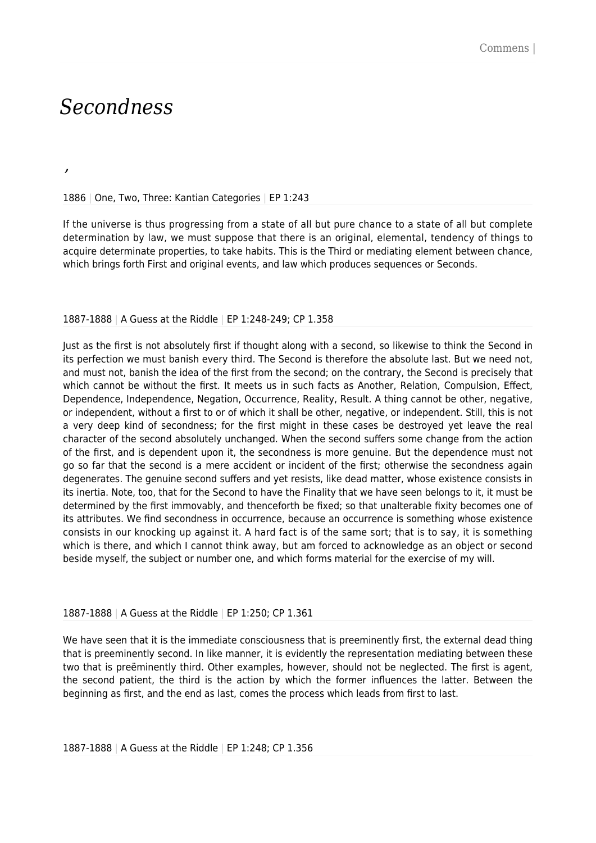# *Secondness*

*,*

#### 1886 | One, Two, Three: Kantian Categories | EP 1:243

If the universe is thus progressing from a state of all but pure chance to a state of all but complete determination by law, we must suppose that there is an original, elemental, tendency of things to acquire determinate properties, to take habits. This is the Third or mediating element between chance, which brings forth First and original events, and law which produces sequences or Seconds.

#### 1887-1888 | A Guess at the Riddle | EP 1:248-249; CP 1.358

Just as the first is not absolutely first if thought along with a second, so likewise to think the Second in its perfection we must banish every third. The Second is therefore the absolute last. But we need not, and must not, banish the idea of the first from the second; on the contrary, the Second is precisely that which cannot be without the first. It meets us in such facts as Another, Relation, Compulsion, Effect, Dependence, Independence, Negation, Occurrence, Reality, Result. A thing cannot be other, negative, or independent, without a first to or of which it shall be other, negative, or independent. Still, this is not a very deep kind of secondness; for the first might in these cases be destroyed yet leave the real character of the second absolutely unchanged. When the second suffers some change from the action of the first, and is dependent upon it, the secondness is more genuine. But the dependence must not go so far that the second is a mere accident or incident of the first; otherwise the secondness again degenerates. The genuine second suffers and yet resists, like dead matter, whose existence consists in its inertia. Note, too, that for the Second to have the Finality that we have seen belongs to it, it must be determined by the first immovably, and thenceforth be fixed; so that unalterable fixity becomes one of its attributes. We find secondness in occurrence, because an occurrence is something whose existence consists in our knocking up against it. A hard fact is of the same sort; that is to say, it is something which is there, and which I cannot think away, but am forced to acknowledge as an object or second beside myself, the subject or number one, and which forms material for the exercise of my will.

#### 1887-1888 | A Guess at the Riddle | EP 1:250; CP 1.361

We have seen that it is the immediate consciousness that is preeminently first, the external dead thing that is preeminently second. In like manner, it is evidently the representation mediating between these two that is preëminently third. Other examples, however, should not be neglected. The first is agent, the second patient, the third is the action by which the former influences the latter. Between the beginning as first, and the end as last, comes the process which leads from first to last.

1887-1888 | A Guess at the Riddle | EP 1:248; CP 1.356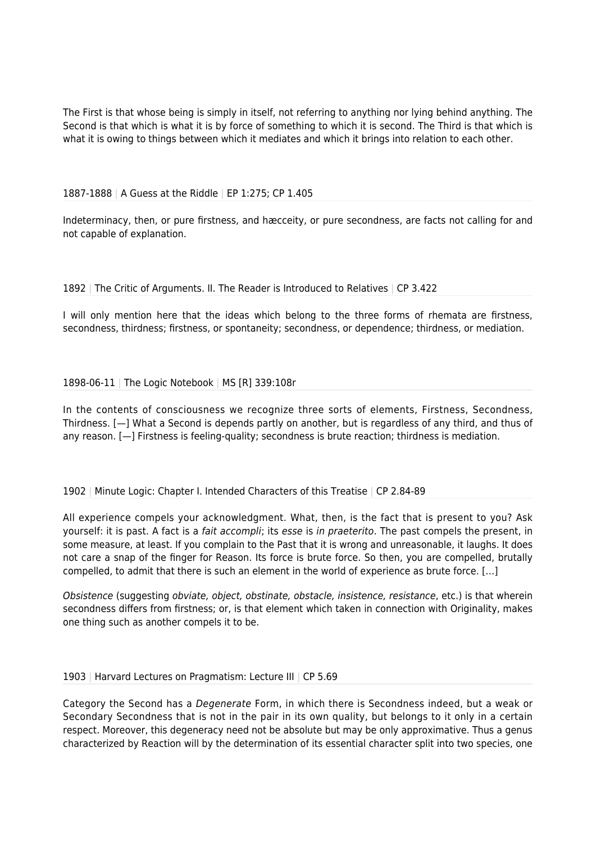The First is that whose being is simply in itself, not referring to anything nor lying behind anything. The Second is that which is what it is by force of something to which it is second. The Third is that which is what it is owing to things between which it mediates and which it brings into relation to each other.

## 1887-1888 | A Guess at the Riddle | EP 1:275; CP 1.405

Indeterminacy, then, or pure firstness, and hæcceity, or pure secondness, are facts not calling for and not capable of explanation.

## 1892 | The Critic of Arguments. II. The Reader is Introduced to Relatives | CP 3.422

I will only mention here that the ideas which belong to the three forms of rhemata are firstness, secondness, thirdness; firstness, or spontaneity; secondness, or dependence; thirdness, or mediation.

## 1898-06-11 | The Logic Notebook | MS [R] 339:108r

In the contents of consciousness we recognize three sorts of elements, Firstness, Secondness, Thirdness. [—] What a Second is depends partly on another, but is regardless of any third, and thus of any reason. [—] Firstness is feeling-quality; secondness is brute reaction; thirdness is mediation.

## 1902 | Minute Logic: Chapter I. Intended Characters of this Treatise | CP 2.84-89

All experience compels your acknowledgment. What, then, is the fact that is present to you? Ask yourself: it is past. A fact is a fait accompli; its esse is in praeterito. The past compels the present, in some measure, at least. If you complain to the Past that it is wrong and unreasonable, it laughs. It does not care a snap of the finger for Reason. Its force is brute force. So then, you are compelled, brutally compelled, to admit that there is such an element in the world of experience as brute force. […]

Obsistence (suggesting obviate, object, obstinate, obstacle, insistence, resistance, etc.) is that wherein secondness differs from firstness; or, is that element which taken in connection with Originality, makes one thing such as another compels it to be.

## 1903 | Harvard Lectures on Pragmatism: Lecture III | CP 5.69

Category the Second has a Degenerate Form, in which there is Secondness indeed, but a weak or Secondary Secondness that is not in the pair in its own quality, but belongs to it only in a certain respect. Moreover, this degeneracy need not be absolute but may be only approximative. Thus a genus characterized by Reaction will by the determination of its essential character split into two species, one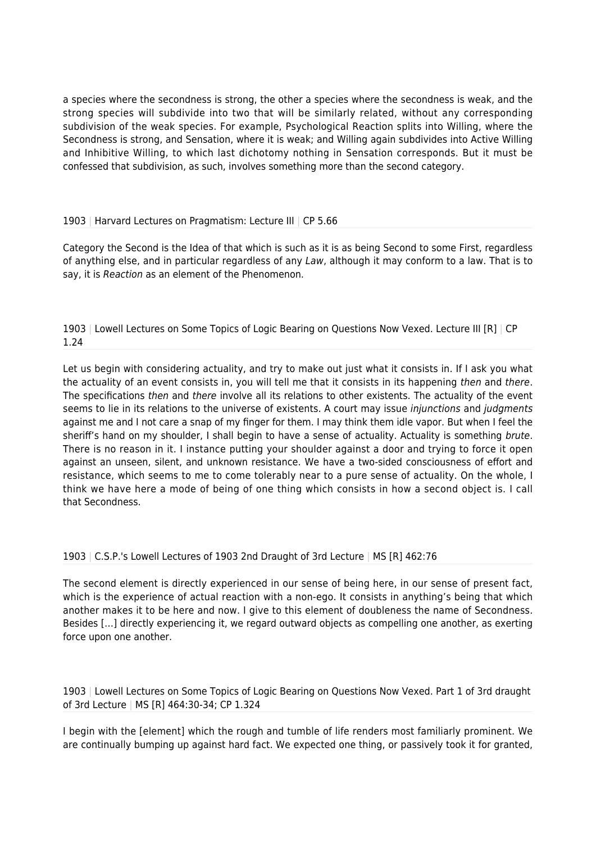a species where the secondness is strong, the other a species where the secondness is weak, and the strong species will subdivide into two that will be similarly related, without any corresponding subdivision of the weak species. For example, Psychological Reaction splits into Willing, where the Secondness is strong, and Sensation, where it is weak; and Willing again subdivides into Active Willing and Inhibitive Willing, to which last dichotomy nothing in Sensation corresponds. But it must be confessed that subdivision, as such, involves something more than the second category.

## 1903 | Harvard Lectures on Pragmatism: Lecture III | CP 5.66

Category the Second is the Idea of that which is such as it is as being Second to some First, regardless of anything else, and in particular regardless of any Law, although it may conform to a law. That is to say, it is Reaction as an element of the Phenomenon.

## 1903 | Lowell Lectures on Some Topics of Logic Bearing on Questions Now Vexed. Lecture III [R] | CP 1.24

Let us begin with considering actuality, and try to make out just what it consists in. If I ask you what the actuality of an event consists in, you will tell me that it consists in its happening then and there. The specifications then and there involve all its relations to other existents. The actuality of the event seems to lie in its relations to the universe of existents. A court may issue *injunctions* and *judgments* against me and I not care a snap of my finger for them. I may think them idle vapor. But when I feel the sheriff's hand on my shoulder, I shall begin to have a sense of actuality. Actuality is something brute. There is no reason in it. I instance putting your shoulder against a door and trying to force it open against an unseen, silent, and unknown resistance. We have a two-sided consciousness of effort and resistance, which seems to me to come tolerably near to a pure sense of actuality. On the whole, I think we have here a mode of being of one thing which consists in how a second object is. I call that Secondness.

## 1903 | C.S.P.'s Lowell Lectures of 1903 2nd Draught of 3rd Lecture | MS [R] 462:76

The second element is directly experienced in our sense of being here, in our sense of present fact, which is the experience of actual reaction with a non-ego. It consists in anything's being that which another makes it to be here and now. I give to this element of doubleness the name of Secondness. Besides […] directly experiencing it, we regard outward objects as compelling one another, as exerting force upon one another.

1903 | Lowell Lectures on Some Topics of Logic Bearing on Questions Now Vexed. Part 1 of 3rd draught of 3rd Lecture | MS [R] 464:30-34; CP 1.324

I begin with the [element] which the rough and tumble of life renders most familiarly prominent. We are continually bumping up against hard fact. We expected one thing, or passively took it for granted,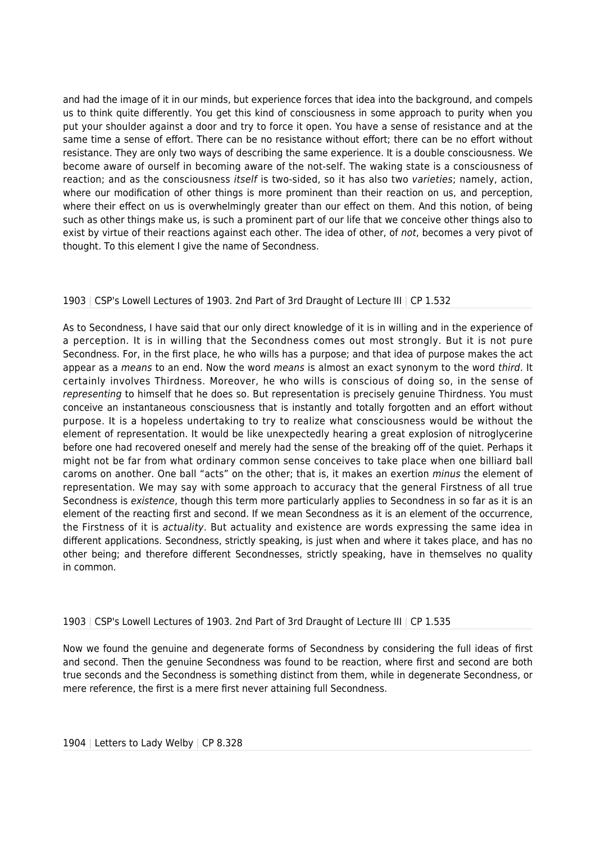and had the image of it in our minds, but experience forces that idea into the background, and compels us to think quite differently. You get this kind of consciousness in some approach to purity when you put your shoulder against a door and try to force it open. You have a sense of resistance and at the same time a sense of effort. There can be no resistance without effort; there can be no effort without resistance. They are only two ways of describing the same experience. It is a double consciousness. We become aware of ourself in becoming aware of the not-self. The waking state is a consciousness of reaction; and as the consciousness *itself* is two-sided, so it has also two varieties; namely, action, where our modification of other things is more prominent than their reaction on us, and perception, where their effect on us is overwhelmingly greater than our effect on them. And this notion, of being such as other things make us, is such a prominent part of our life that we conceive other things also to exist by virtue of their reactions against each other. The idea of other, of not, becomes a very pivot of thought. To this element I give the name of Secondness.

# 1903 | CSP's Lowell Lectures of 1903. 2nd Part of 3rd Draught of Lecture III | CP 1.532

As to Secondness, I have said that our only direct knowledge of it is in willing and in the experience of a perception. It is in willing that the Secondness comes out most strongly. But it is not pure Secondness. For, in the first place, he who wills has a purpose; and that idea of purpose makes the act appear as a means to an end. Now the word means is almost an exact synonym to the word third. It certainly involves Thirdness. Moreover, he who wills is conscious of doing so, in the sense of representing to himself that he does so. But representation is precisely genuine Thirdness. You must conceive an instantaneous consciousness that is instantly and totally forgotten and an effort without purpose. It is a hopeless undertaking to try to realize what consciousness would be without the element of representation. It would be like unexpectedly hearing a great explosion of nitroglycerine before one had recovered oneself and merely had the sense of the breaking off of the quiet. Perhaps it might not be far from what ordinary common sense conceives to take place when one billiard ball caroms on another. One ball "acts" on the other; that is, it makes an exertion minus the element of representation. We may say with some approach to accuracy that the general Firstness of all true Secondness is existence, though this term more particularly applies to Secondness in so far as it is an element of the reacting first and second. If we mean Secondness as it is an element of the occurrence, the Firstness of it is *actuality*. But actuality and existence are words expressing the same idea in different applications. Secondness, strictly speaking, is just when and where it takes place, and has no other being; and therefore different Secondnesses, strictly speaking, have in themselves no quality in common.

# 1903 | CSP's Lowell Lectures of 1903. 2nd Part of 3rd Draught of Lecture III | CP 1.535

Now we found the genuine and degenerate forms of Secondness by considering the full ideas of first and second. Then the genuine Secondness was found to be reaction, where first and second are both true seconds and the Secondness is something distinct from them, while in degenerate Secondness, or mere reference, the first is a mere first never attaining full Secondness.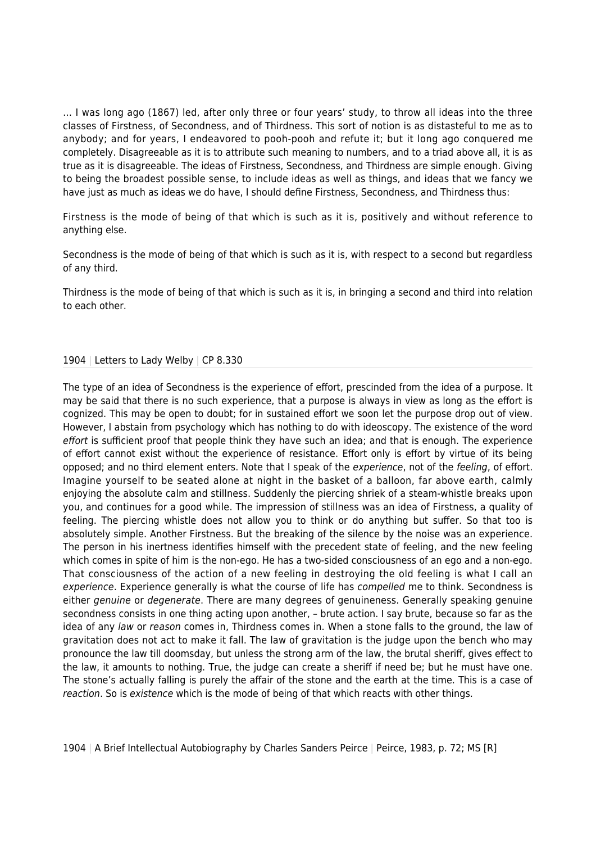… I was long ago (1867) led, after only three or four years' study, to throw all ideas into the three classes of Firstness, of Secondness, and of Thirdness. This sort of notion is as distasteful to me as to anybody; and for years, I endeavored to pooh-pooh and refute it; but it long ago conquered me completely. Disagreeable as it is to attribute such meaning to numbers, and to a triad above all, it is as true as it is disagreeable. The ideas of Firstness, Secondness, and Thirdness are simple enough. Giving to being the broadest possible sense, to include ideas as well as things, and ideas that we fancy we have just as much as ideas we do have, I should define Firstness, Secondness, and Thirdness thus:

Firstness is the mode of being of that which is such as it is, positively and without reference to anything else.

Secondness is the mode of being of that which is such as it is, with respect to a second but regardless of any third.

Thirdness is the mode of being of that which is such as it is, in bringing a second and third into relation to each other.

#### 1904 | Letters to Lady Welby | CP 8.330

The type of an idea of Secondness is the experience of effort, prescinded from the idea of a purpose. It may be said that there is no such experience, that a purpose is always in view as long as the effort is cognized. This may be open to doubt; for in sustained effort we soon let the purpose drop out of view. However, I abstain from psychology which has nothing to do with ideoscopy. The existence of the word effort is sufficient proof that people think they have such an idea; and that is enough. The experience of effort cannot exist without the experience of resistance. Effort only is effort by virtue of its being opposed; and no third element enters. Note that I speak of the experience, not of the feeling, of effort. Imagine yourself to be seated alone at night in the basket of a balloon, far above earth, calmly enjoying the absolute calm and stillness. Suddenly the piercing shriek of a steam-whistle breaks upon you, and continues for a good while. The impression of stillness was an idea of Firstness, a quality of feeling. The piercing whistle does not allow you to think or do anything but suffer. So that too is absolutely simple. Another Firstness. But the breaking of the silence by the noise was an experience. The person in his inertness identifies himself with the precedent state of feeling, and the new feeling which comes in spite of him is the non-ego. He has a two-sided consciousness of an ego and a non-ego. That consciousness of the action of a new feeling in destroying the old feeling is what I call an experience. Experience generally is what the course of life has *compelled* me to think. Secondness is either genuine or degenerate. There are many degrees of genuineness. Generally speaking genuine secondness consists in one thing acting upon another, – brute action. I say brute, because so far as the idea of any law or reason comes in, Thirdness comes in. When a stone falls to the ground, the law of gravitation does not act to make it fall. The law of gravitation is the judge upon the bench who may pronounce the law till doomsday, but unless the strong arm of the law, the brutal sheriff, gives effect to the law, it amounts to nothing. True, the judge can create a sheriff if need be; but he must have one. The stone's actually falling is purely the affair of the stone and the earth at the time. This is a case of reaction. So is existence which is the mode of being of that which reacts with other things.

1904 | A Brief Intellectual Autobiography by Charles Sanders Peirce | Peirce, 1983, p. 72; MS [R]